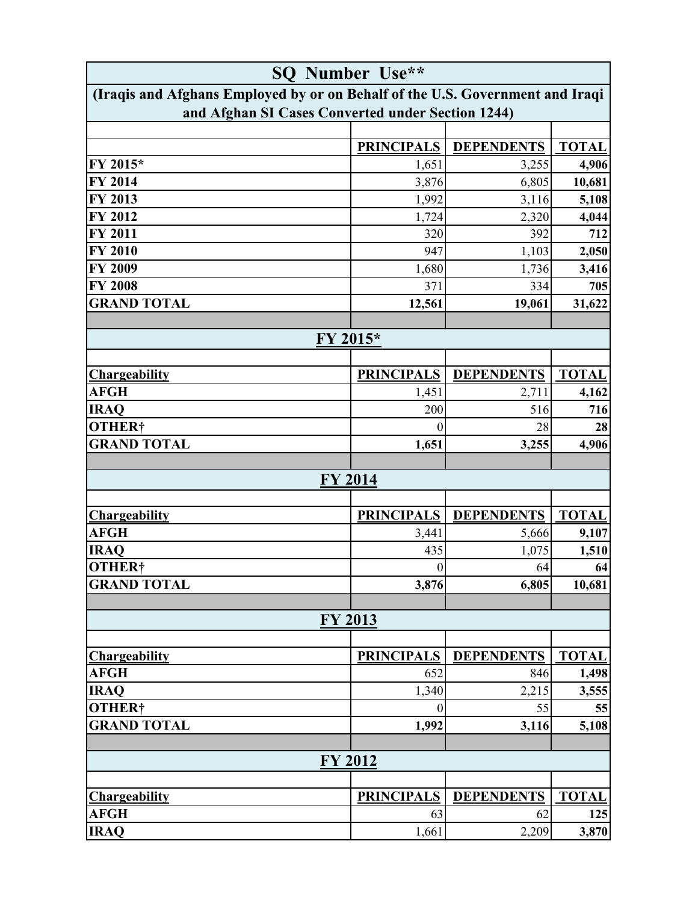| (Iraqis and Afghans Employed by or on Behalf of the U.S. Government and Iraqi<br>and Afghan SI Cases Converted under Section 1244)<br><b>PRINCIPALS</b><br><b>DEPENDENTS</b><br><b>TOTAL</b><br>FY 2015*<br>1,651<br>3,255<br>4,906<br>FY 2014<br>3,876<br>10,681<br>6,805<br>FY 2013<br>1,992<br>3,116<br>5,108<br><b>FY 2012</b><br>1,724<br>4,044<br>2,320<br><b>FY 2011</b><br>320<br>392<br>712<br><b>FY 2010</b><br>947<br>1,103<br>2,050<br><b>FY 2009</b><br>1,680<br>1,736<br>3,416<br><b>FY 2008</b><br>371<br>334<br>705<br><b>GRAND TOTAL</b><br>12,561<br>19,061<br>31,622<br>FY 2015*<br><b>PRINCIPALS</b><br><b>DEPENDENTS</b><br><b>TOTAL</b><br><b>Chargeability</b><br><b>AFGH</b><br>1,451<br>2,711<br>4,162<br><b>IRAQ</b><br>200<br>716<br>516<br>28<br>28<br>0<br>1,651<br>4,906<br>3,255<br><b>FY 2014</b><br><b>PRINCIPALS</b><br><b>DEPENDENTS</b><br><b>TOTAL</b><br><b>AFGH</b><br>3,441<br>5,666<br>9,107<br><b>IRAQ</b><br>435<br>1,075<br>1,510<br>64<br>$\boldsymbol{0}$<br>64<br>10,681<br>3,876<br>6,805<br>FY 2013<br><b>PRINCIPALS</b><br><b>DEPENDENTS</b><br><b>TOTAL</b><br><b>Chargeability</b><br><b>AFGH</b><br>652<br>846<br>1,498<br><b>IRAQ</b><br>1,340<br>2,215<br>3,555<br><b>OTHER†</b><br>55<br>55<br>$\Omega$<br><b>GRAND TOTAL</b><br>1,992<br>3,116<br>5,108<br>FY 2012<br><b>PRINCIPALS</b><br><b>DEPENDENTS</b><br><b>TOTAL</b><br><b>Chargeability</b><br><b>AFGH</b><br>125<br>63<br>62 | SQ Number Use**      |       |       |       |  |
|-------------------------------------------------------------------------------------------------------------------------------------------------------------------------------------------------------------------------------------------------------------------------------------------------------------------------------------------------------------------------------------------------------------------------------------------------------------------------------------------------------------------------------------------------------------------------------------------------------------------------------------------------------------------------------------------------------------------------------------------------------------------------------------------------------------------------------------------------------------------------------------------------------------------------------------------------------------------------------------------------------------------------------------------------------------------------------------------------------------------------------------------------------------------------------------------------------------------------------------------------------------------------------------------------------------------------------------------------------------------------------------------------------------------------------------------------|----------------------|-------|-------|-------|--|
|                                                                                                                                                                                                                                                                                                                                                                                                                                                                                                                                                                                                                                                                                                                                                                                                                                                                                                                                                                                                                                                                                                                                                                                                                                                                                                                                                                                                                                                 |                      |       |       |       |  |
|                                                                                                                                                                                                                                                                                                                                                                                                                                                                                                                                                                                                                                                                                                                                                                                                                                                                                                                                                                                                                                                                                                                                                                                                                                                                                                                                                                                                                                                 |                      |       |       |       |  |
|                                                                                                                                                                                                                                                                                                                                                                                                                                                                                                                                                                                                                                                                                                                                                                                                                                                                                                                                                                                                                                                                                                                                                                                                                                                                                                                                                                                                                                                 |                      |       |       |       |  |
|                                                                                                                                                                                                                                                                                                                                                                                                                                                                                                                                                                                                                                                                                                                                                                                                                                                                                                                                                                                                                                                                                                                                                                                                                                                                                                                                                                                                                                                 |                      |       |       |       |  |
|                                                                                                                                                                                                                                                                                                                                                                                                                                                                                                                                                                                                                                                                                                                                                                                                                                                                                                                                                                                                                                                                                                                                                                                                                                                                                                                                                                                                                                                 |                      |       |       |       |  |
|                                                                                                                                                                                                                                                                                                                                                                                                                                                                                                                                                                                                                                                                                                                                                                                                                                                                                                                                                                                                                                                                                                                                                                                                                                                                                                                                                                                                                                                 |                      |       |       |       |  |
|                                                                                                                                                                                                                                                                                                                                                                                                                                                                                                                                                                                                                                                                                                                                                                                                                                                                                                                                                                                                                                                                                                                                                                                                                                                                                                                                                                                                                                                 |                      |       |       |       |  |
|                                                                                                                                                                                                                                                                                                                                                                                                                                                                                                                                                                                                                                                                                                                                                                                                                                                                                                                                                                                                                                                                                                                                                                                                                                                                                                                                                                                                                                                 |                      |       |       |       |  |
|                                                                                                                                                                                                                                                                                                                                                                                                                                                                                                                                                                                                                                                                                                                                                                                                                                                                                                                                                                                                                                                                                                                                                                                                                                                                                                                                                                                                                                                 |                      |       |       |       |  |
|                                                                                                                                                                                                                                                                                                                                                                                                                                                                                                                                                                                                                                                                                                                                                                                                                                                                                                                                                                                                                                                                                                                                                                                                                                                                                                                                                                                                                                                 |                      |       |       |       |  |
|                                                                                                                                                                                                                                                                                                                                                                                                                                                                                                                                                                                                                                                                                                                                                                                                                                                                                                                                                                                                                                                                                                                                                                                                                                                                                                                                                                                                                                                 |                      |       |       |       |  |
|                                                                                                                                                                                                                                                                                                                                                                                                                                                                                                                                                                                                                                                                                                                                                                                                                                                                                                                                                                                                                                                                                                                                                                                                                                                                                                                                                                                                                                                 |                      |       |       |       |  |
|                                                                                                                                                                                                                                                                                                                                                                                                                                                                                                                                                                                                                                                                                                                                                                                                                                                                                                                                                                                                                                                                                                                                                                                                                                                                                                                                                                                                                                                 |                      |       |       |       |  |
|                                                                                                                                                                                                                                                                                                                                                                                                                                                                                                                                                                                                                                                                                                                                                                                                                                                                                                                                                                                                                                                                                                                                                                                                                                                                                                                                                                                                                                                 |                      |       |       |       |  |
|                                                                                                                                                                                                                                                                                                                                                                                                                                                                                                                                                                                                                                                                                                                                                                                                                                                                                                                                                                                                                                                                                                                                                                                                                                                                                                                                                                                                                                                 |                      |       |       |       |  |
|                                                                                                                                                                                                                                                                                                                                                                                                                                                                                                                                                                                                                                                                                                                                                                                                                                                                                                                                                                                                                                                                                                                                                                                                                                                                                                                                                                                                                                                 |                      |       |       |       |  |
|                                                                                                                                                                                                                                                                                                                                                                                                                                                                                                                                                                                                                                                                                                                                                                                                                                                                                                                                                                                                                                                                                                                                                                                                                                                                                                                                                                                                                                                 |                      |       |       |       |  |
|                                                                                                                                                                                                                                                                                                                                                                                                                                                                                                                                                                                                                                                                                                                                                                                                                                                                                                                                                                                                                                                                                                                                                                                                                                                                                                                                                                                                                                                 |                      |       |       |       |  |
|                                                                                                                                                                                                                                                                                                                                                                                                                                                                                                                                                                                                                                                                                                                                                                                                                                                                                                                                                                                                                                                                                                                                                                                                                                                                                                                                                                                                                                                 | <b>OTHER†</b>        |       |       |       |  |
|                                                                                                                                                                                                                                                                                                                                                                                                                                                                                                                                                                                                                                                                                                                                                                                                                                                                                                                                                                                                                                                                                                                                                                                                                                                                                                                                                                                                                                                 | <b>GRAND TOTAL</b>   |       |       |       |  |
|                                                                                                                                                                                                                                                                                                                                                                                                                                                                                                                                                                                                                                                                                                                                                                                                                                                                                                                                                                                                                                                                                                                                                                                                                                                                                                                                                                                                                                                 |                      |       |       |       |  |
|                                                                                                                                                                                                                                                                                                                                                                                                                                                                                                                                                                                                                                                                                                                                                                                                                                                                                                                                                                                                                                                                                                                                                                                                                                                                                                                                                                                                                                                 |                      |       |       |       |  |
|                                                                                                                                                                                                                                                                                                                                                                                                                                                                                                                                                                                                                                                                                                                                                                                                                                                                                                                                                                                                                                                                                                                                                                                                                                                                                                                                                                                                                                                 |                      |       |       |       |  |
|                                                                                                                                                                                                                                                                                                                                                                                                                                                                                                                                                                                                                                                                                                                                                                                                                                                                                                                                                                                                                                                                                                                                                                                                                                                                                                                                                                                                                                                 | <b>Chargeability</b> |       |       |       |  |
|                                                                                                                                                                                                                                                                                                                                                                                                                                                                                                                                                                                                                                                                                                                                                                                                                                                                                                                                                                                                                                                                                                                                                                                                                                                                                                                                                                                                                                                 |                      |       |       |       |  |
|                                                                                                                                                                                                                                                                                                                                                                                                                                                                                                                                                                                                                                                                                                                                                                                                                                                                                                                                                                                                                                                                                                                                                                                                                                                                                                                                                                                                                                                 |                      |       |       |       |  |
|                                                                                                                                                                                                                                                                                                                                                                                                                                                                                                                                                                                                                                                                                                                                                                                                                                                                                                                                                                                                                                                                                                                                                                                                                                                                                                                                                                                                                                                 | <b>OTHER†</b>        |       |       |       |  |
|                                                                                                                                                                                                                                                                                                                                                                                                                                                                                                                                                                                                                                                                                                                                                                                                                                                                                                                                                                                                                                                                                                                                                                                                                                                                                                                                                                                                                                                 | <b>GRAND TOTAL</b>   |       |       |       |  |
|                                                                                                                                                                                                                                                                                                                                                                                                                                                                                                                                                                                                                                                                                                                                                                                                                                                                                                                                                                                                                                                                                                                                                                                                                                                                                                                                                                                                                                                 |                      |       |       |       |  |
|                                                                                                                                                                                                                                                                                                                                                                                                                                                                                                                                                                                                                                                                                                                                                                                                                                                                                                                                                                                                                                                                                                                                                                                                                                                                                                                                                                                                                                                 |                      |       |       |       |  |
|                                                                                                                                                                                                                                                                                                                                                                                                                                                                                                                                                                                                                                                                                                                                                                                                                                                                                                                                                                                                                                                                                                                                                                                                                                                                                                                                                                                                                                                 |                      |       |       |       |  |
|                                                                                                                                                                                                                                                                                                                                                                                                                                                                                                                                                                                                                                                                                                                                                                                                                                                                                                                                                                                                                                                                                                                                                                                                                                                                                                                                                                                                                                                 |                      |       |       |       |  |
|                                                                                                                                                                                                                                                                                                                                                                                                                                                                                                                                                                                                                                                                                                                                                                                                                                                                                                                                                                                                                                                                                                                                                                                                                                                                                                                                                                                                                                                 |                      |       |       |       |  |
|                                                                                                                                                                                                                                                                                                                                                                                                                                                                                                                                                                                                                                                                                                                                                                                                                                                                                                                                                                                                                                                                                                                                                                                                                                                                                                                                                                                                                                                 |                      |       |       |       |  |
|                                                                                                                                                                                                                                                                                                                                                                                                                                                                                                                                                                                                                                                                                                                                                                                                                                                                                                                                                                                                                                                                                                                                                                                                                                                                                                                                                                                                                                                 |                      |       |       |       |  |
|                                                                                                                                                                                                                                                                                                                                                                                                                                                                                                                                                                                                                                                                                                                                                                                                                                                                                                                                                                                                                                                                                                                                                                                                                                                                                                                                                                                                                                                 |                      |       |       |       |  |
|                                                                                                                                                                                                                                                                                                                                                                                                                                                                                                                                                                                                                                                                                                                                                                                                                                                                                                                                                                                                                                                                                                                                                                                                                                                                                                                                                                                                                                                 |                      |       |       |       |  |
|                                                                                                                                                                                                                                                                                                                                                                                                                                                                                                                                                                                                                                                                                                                                                                                                                                                                                                                                                                                                                                                                                                                                                                                                                                                                                                                                                                                                                                                 |                      |       |       |       |  |
|                                                                                                                                                                                                                                                                                                                                                                                                                                                                                                                                                                                                                                                                                                                                                                                                                                                                                                                                                                                                                                                                                                                                                                                                                                                                                                                                                                                                                                                 |                      |       |       |       |  |
|                                                                                                                                                                                                                                                                                                                                                                                                                                                                                                                                                                                                                                                                                                                                                                                                                                                                                                                                                                                                                                                                                                                                                                                                                                                                                                                                                                                                                                                 |                      |       |       |       |  |
|                                                                                                                                                                                                                                                                                                                                                                                                                                                                                                                                                                                                                                                                                                                                                                                                                                                                                                                                                                                                                                                                                                                                                                                                                                                                                                                                                                                                                                                 | <b>IRAQ</b>          | 1,661 | 2,209 | 3,870 |  |